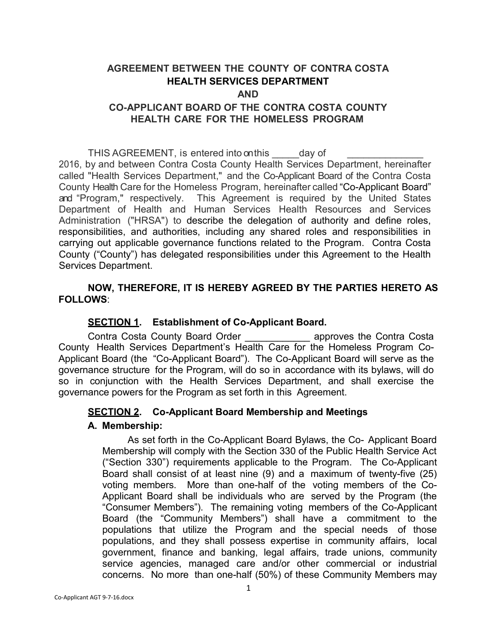# **AGREEMENT BETWEEN THE COUNTY OF CONTRA COSTA HEALTH SERVICES DEPARTMENT**

#### **AND**

# **CO-APPLICANT BOARD OF THE CONTRA COSTA COUNTY HEALTH CARE FOR THE HOMELESS PROGRAM**

THIS AGREEMENT, is entered into on this day of 2016, by and between Contra Costa County Health Services Department, hereinafter called "Health Services Department," and the Co-Applicant Board of the Contra Costa County Health Care for the Homeless Program, hereinafter called "Co-Applicant Board" and "Program," respectively. This Agreement is required by the United States Department of Health and Human Services Health Resources and Services Administration ("HRSA") to describe the delegation of authority and define roles, responsibilities, and authorities, including any shared roles and responsibilities in carrying out applicable governance functions related to the Program. Contra Costa County ("County") has delegated responsibilities under this Agreement to the Health Services Department.

# **NOW, THEREFORE, IT IS HEREBY AGREED BY THE PARTIES HERETO AS FOLLOWS**:

# **SECTION 1. Establishment of Co-Applicant Board.**

Contra Costa County Board Order \_\_\_\_\_\_\_\_\_\_\_\_ approves the Contra Costa County Health Services Department's Health Care for the Homeless Program Co-Applicant Board (the "Co-Applicant Board"). The Co-Applicant Board will serve as the governance structure for the Program, will do so in accordance with its bylaws, will do so in conjunction with the Health Services Department, and shall exercise the governance powers for the Program as set forth in this Agreement.

# **SECTION 2. Co-Applicant Board Membership and Meetings**

### **A. Membership:**

As set forth in the Co-Applicant Board Bylaws, the Co- Applicant Board Membership will comply with the Section 330 of the Public Health Service Act ("Section 330") requirements applicable to the Program. The Co-Applicant Board shall consist of at least nine (9) and a maximum of twenty-five (25) voting members. More than one-half of the voting members of the Co-Applicant Board shall be individuals who are served by the Program (the "Consumer Members"). The remaining voting members of the Co-Applicant Board (the "Community Members") shall have a commitment to the populations that utilize the Program and the special needs of those populations, and they shall possess expertise in community affairs, local government, finance and banking, legal affairs, trade unions, community service agencies, managed care and/or other commercial or industrial concerns. No more than one-half (50%) of these Community Members may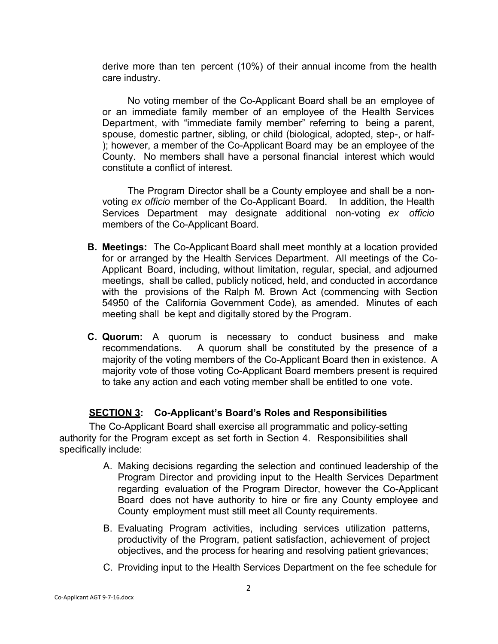derive more than ten percent (10%) of their annual income from the health care industry.

No voting member of the Co-Applicant Board shall be an employee of or an immediate family member of an employee of the Health Services Department, with "immediate family member" referring to being a parent, spouse, domestic partner, sibling, or child (biological, adopted, step-, or half- ); however, a member of the Co-Applicant Board may be an employee of the County. No members shall have a personal financial interest which would constitute a conflict of interest.

The Program Director shall be a County employee and shall be a nonvoting *ex officio* member of the Co-Applicant Board. In addition, the Health Services Department may designate additional non-voting *ex officio*  members of the Co-Applicant Board.

- **B. Meetings:** The Co-Applicant Board shall meet monthly at a location provided for or arranged by the Health Services Department. All meetings of the Co-Applicant Board, including, without limitation, regular, special, and adjourned meetings, shall be called, publicly noticed, held, and conducted in accordance with the provisions of the Ralph M. Brown Act (commencing with Section 54950 of the California Government Code), as amended. Minutes of each meeting shall be kept and digitally stored by the Program.
- **C. Quorum:** A quorum is necessary to conduct business and make recommendations. A quorum shall be constituted by the presence of a majority of the voting members of the Co-Applicant Board then in existence. A majority vote of those voting Co-Applicant Board members present is required to take any action and each voting member shall be entitled to one vote.

# **SECTION 3: Co-Applicant's Board's Roles and Responsibilities**

The Co-Applicant Board shall exercise all programmatic and policy-setting authority for the Program except as set forth in Section 4. Responsibilities shall specifically include:

- A. Making decisions regarding the selection and continued leadership of the Program Director and providing input to the Health Services Department regarding evaluation of the Program Director, however the Co-Applicant Board does not have authority to hire or fire any County employee and County employment must still meet all County requirements.
- B. Evaluating Program activities, including services utilization patterns, productivity of the Program, patient satisfaction, achievement of project objectives, and the process for hearing and resolving patient grievances;
- C. Providing input to the Health Services Department on the fee schedule for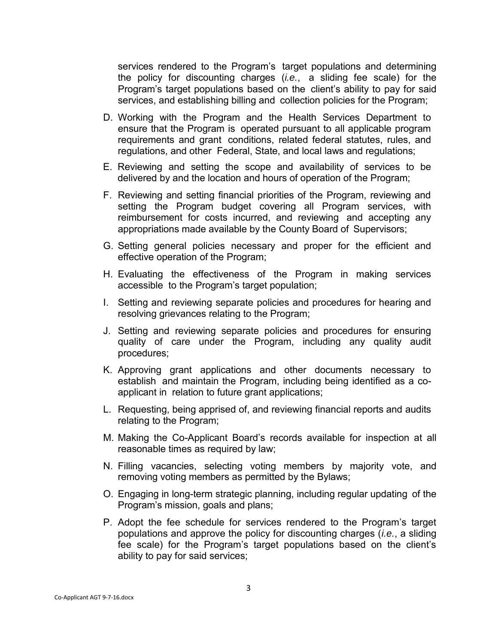services rendered to the Program's target populations and determining the policy for discounting charges (*i.e.*, a sliding fee scale) for the Program's target populations based on the client's ability to pay for said services, and establishing billing and collection policies for the Program;

- D. Working with the Program and the Health Services Department to ensure that the Program is operated pursuant to all applicable program requirements and grant conditions, related federal statutes, rules, and regulations, and other Federal, State, and local laws and regulations;
- E. Reviewing and setting the scope and availability of services to be delivered by and the location and hours of operation of the Program;
- F. Reviewing and setting financial priorities of the Program, reviewing and setting the Program budget covering all Program services, with reimbursement for costs incurred, and reviewing and accepting any appropriations made available by the County Board of Supervisors;
- G. Setting general policies necessary and proper for the efficient and effective operation of the Program;
- H. Evaluating the effectiveness of the Program in making services accessible to the Program's target population;
- I. Setting and reviewing separate policies and procedures for hearing and resolving grievances relating to the Program;
- J. Setting and reviewing separate policies and procedures for ensuring quality of care under the Program, including any quality audit procedures;
- K. Approving grant applications and other documents necessary to establish and maintain the Program, including being identified as a coapplicant in relation to future grant applications;
- L. Requesting, being apprised of, and reviewing financial reports and audits relating to the Program;
- M. Making the Co-Applicant Board's records available for inspection at all reasonable times as required by law;
- N. Filling vacancies, selecting voting members by majority vote, and removing voting members as permitted by the Bylaws;
- O. Engaging in long-term strategic planning, including regular updating of the Program's mission, goals and plans;
- P. Adopt the fee schedule for services rendered to the Program's target populations and approve the policy for discounting charges (*i.e.*, a sliding fee scale) for the Program's target populations based on the client's ability to pay for said services;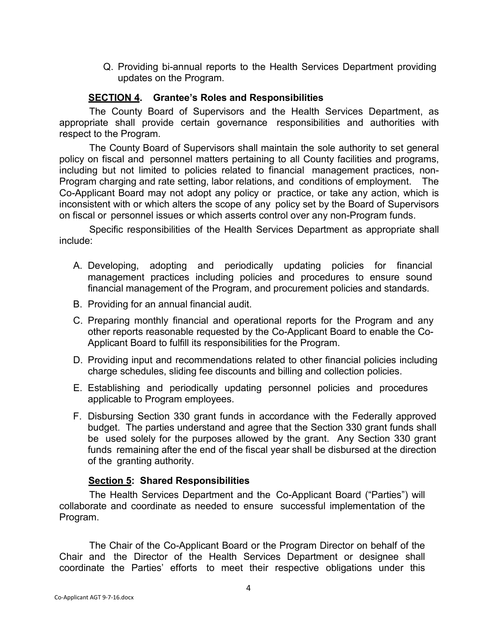Q. Providing bi-annual reports to the Health Services Department providing updates on the Program.

### **SECTION 4. Grantee's Roles and Responsibilities**

The County Board of Supervisors and the Health Services Department, as appropriate shall provide certain governance responsibilities and authorities with respect to the Program.

The County Board of Supervisors shall maintain the sole authority to set general policy on fiscal and personnel matters pertaining to all County facilities and programs, including but not limited to policies related to financial management practices, non-Program charging and rate setting, labor relations, and conditions of employment. The Co-Applicant Board may not adopt any policy or practice, or take any action, which is inconsistent with or which alters the scope of any policy set by the Board of Supervisors on fiscal or personnel issues or which asserts control over any non-Program funds.

Specific responsibilities of the Health Services Department as appropriate shall include:

- A. Developing, adopting and periodically updating policies for financial management practices including policies and procedures to ensure sound financial management of the Program, and procurement policies and standards.
- B. Providing for an annual financial audit.
- C. Preparing monthly financial and operational reports for the Program and any other reports reasonable requested by the Co-Applicant Board to enable the Co-Applicant Board to fulfill its responsibilities for the Program.
- D. Providing input and recommendations related to other financial policies including charge schedules, sliding fee discounts and billing and collection policies.
- E. Establishing and periodically updating personnel policies and procedures applicable to Program employees.
- F. Disbursing Section 330 grant funds in accordance with the Federally approved budget. The parties understand and agree that the Section 330 grant funds shall be used solely for the purposes allowed by the grant. Any Section 330 grant funds remaining after the end of the fiscal year shall be disbursed at the direction of the granting authority.

### **Section 5: Shared Responsibilities**

The Health Services Department and the Co-Applicant Board ("Parties") will collaborate and coordinate as needed to ensure successful implementation of the Program.

The Chair of the Co-Applicant Board or the Program Director on behalf of the Chair and the Director of the Health Services Department or designee shall coordinate the Parties' efforts to meet their respective obligations under this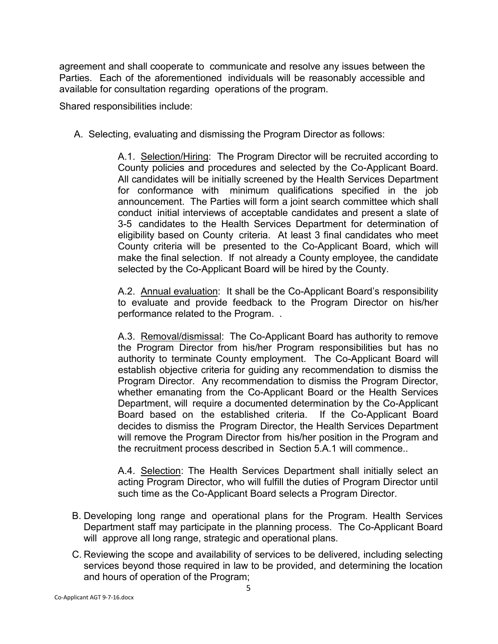agreement and shall cooperate to communicate and resolve any issues between the Parties. Each of the aforementioned individuals will be reasonably accessible and available for consultation regarding operations of the program.

Shared responsibilities include:

A. Selecting, evaluating and dismissing the Program Director as follows:

A.1. Selection/Hiring: The Program Director will be recruited according to County policies and procedures and selected by the Co-Applicant Board. All candidates will be initially screened by the Health Services Department for conformance with minimum qualifications specified in the job announcement. The Parties will form a joint search committee which shall conduct initial interviews of acceptable candidates and present a slate of 3-5 candidates to the Health Services Department for determination of eligibility based on County criteria. At least 3 final candidates who meet County criteria will be presented to the Co-Applicant Board, which will make the final selection. If not already a County employee, the candidate selected by the Co-Applicant Board will be hired by the County.

A.2. Annual evaluation: It shall be the Co-Applicant Board's responsibility to evaluate and provide feedback to the Program Director on his/her performance related to the Program. .

A.3. Removal/dismissal: The Co-Applicant Board has authority to remove the Program Director from his/her Program responsibilities but has no authority to terminate County employment. The Co-Applicant Board will establish objective criteria for guiding any recommendation to dismiss the Program Director. Any recommendation to dismiss the Program Director, whether emanating from the Co-Applicant Board or the Health Services Department, will require a documented determination by the Co-Applicant Board based on the established criteria. If the Co-Applicant Board decides to dismiss the Program Director, the Health Services Department will remove the Program Director from his/her position in the Program and the recruitment process described in Section 5.A.1 will commence..

A.4. Selection: The Health Services Department shall initially select an acting Program Director, who will fulfill the duties of Program Director until such time as the Co-Applicant Board selects a Program Director.

- B. Developing long range and operational plans for the Program. Health Services Department staff may participate in the planning process. The Co-Applicant Board will approve all long range, strategic and operational plans.
- C. Reviewing the scope and availability of services to be delivered, including selecting services beyond those required in law to be provided, and determining the location and hours of operation of the Program;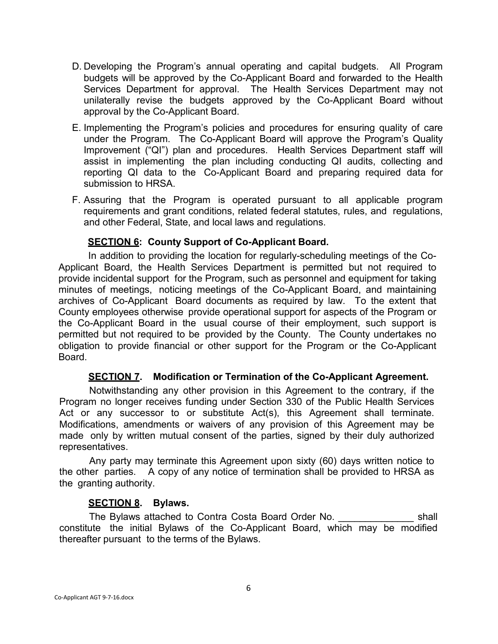- D. Developing the Program's annual operating and capital budgets. All Program budgets will be approved by the Co-Applicant Board and forwarded to the Health Services Department for approval. The Health Services Department may not unilaterally revise the budgets approved by the Co-Applicant Board without approval by the Co-Applicant Board.
- E. Implementing the Program's policies and procedures for ensuring quality of care under the Program. The Co-Applicant Board will approve the Program's Quality Improvement ("QI") plan and procedures. Health Services Department staff will assist in implementing the plan including conducting QI audits, collecting and reporting QI data to the Co-Applicant Board and preparing required data for submission to HRSA.
- F. Assuring that the Program is operated pursuant to all applicable program requirements and grant conditions, related federal statutes, rules, and regulations, and other Federal, State, and local laws and regulations.

### **SECTION 6: County Support of Co-Applicant Board.**

In addition to providing the location for regularly-scheduling meetings of the Co-Applicant Board, the Health Services Department is permitted but not required to provide incidental support for the Program, such as personnel and equipment for taking minutes of meetings, noticing meetings of the Co-Applicant Board, and maintaining archives of Co-Applicant Board documents as required by law. To the extent that County employees otherwise provide operational support for aspects of the Program or the Co-Applicant Board in the usual course of their employment, such support is permitted but not required to be provided by the County. The County undertakes no obligation to provide financial or other support for the Program or the Co-Applicant Board.

#### **SECTION 7. Modification or Termination of the Co-Applicant Agreement.**

Notwithstanding any other provision in this Agreement to the contrary, if the Program no longer receives funding under Section 330 of the Public Health Services Act or any successor to or substitute Act(s), this Agreement shall terminate. Modifications, amendments or waivers of any provision of this Agreement may be made only by written mutual consent of the parties, signed by their duly authorized representatives.

Any party may terminate this Agreement upon sixty (60) days written notice to the other parties. A copy of any notice of termination shall be provided to HRSA as the granting authority.

#### **SECTION 8. Bylaws.**

The Bylaws attached to Contra Costa Board Order No. The Bylaws attached to Contra Costa Board Order No. constitute the initial Bylaws of the Co-Applicant Board, which may be modified thereafter pursuant to the terms of the Bylaws.